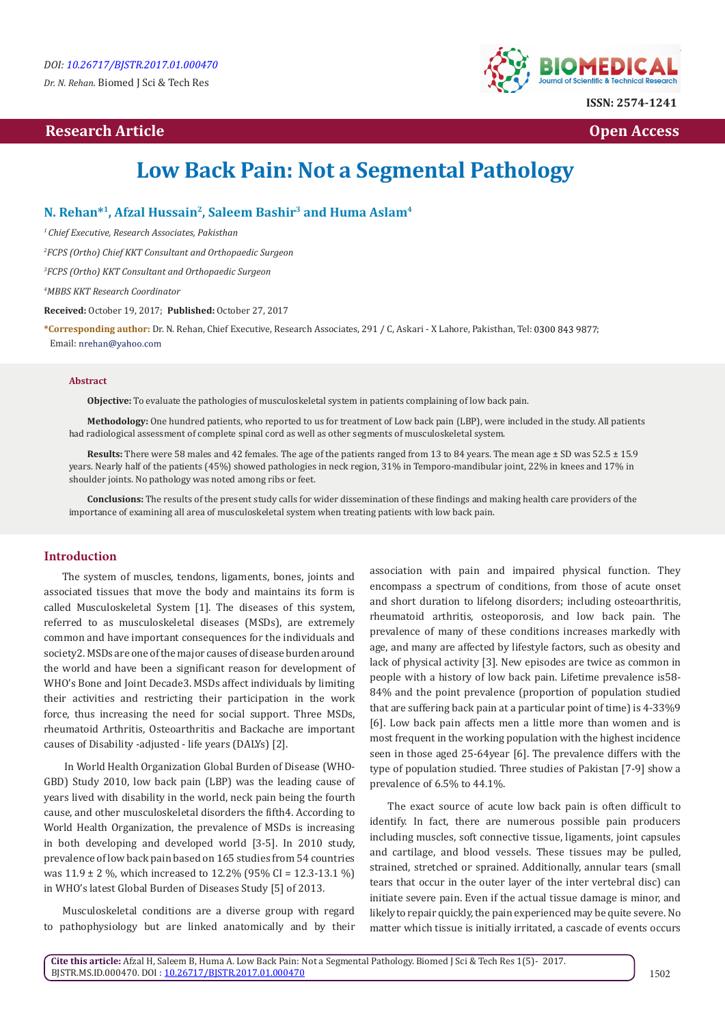## **Research Article Community Community Community Community Community Community Community Community Community Community Community Community Community Community Community Community Community Community Community Community Com**



# **Low Back Pain: Not a Segmental Pathology**

## **N. Rehan\*1, Afzal Hussain2, Saleem Bashir3 and Huma Aslam4**

*1 Chief Executive, Research Associates, Pakisthan*

*2 FCPS (Ortho) Chief KKT Consultant and Orthopaedic Surgeon*

*3 FCPS (Ortho) KKT Consultant and Orthopaedic Surgeon*

*4 MBBS KKT Research Coordinator*

**Received:** October 19, 2017; **Published:** October 27, 2017

**\*Corresponding author:** Dr. N. Rehan, Chief Executive, Research Associates, 291 / C, Askari - X Lahore, Pakisthan, Tel: ; Email: nrehan@yahoo.com

### **Abstract**

**Objective:** To evaluate the pathologies of musculoskeletal system in patients complaining of low back pain.

**Methodology:** One hundred patients, who reported to us for treatment of Low back pain (LBP), were included in the study. All patients had radiological assessment of complete spinal cord as well as other segments of musculoskeletal system.

**Results:** There were 58 males and 42 females. The age of the patients ranged from 13 to 84 years. The mean age ± SD was 52.5 ± 15.9 years. Nearly half of the patients (45%) showed pathologies in neck region, 31% in Temporo-mandibular joint, 22% in knees and 17% in shoulder joints. No pathology was noted among ribs or feet.

**Conclusions:** The results of the present study calls for wider dissemination of these findings and making health care providers of the importance of examining all area of musculoskeletal system when treating patients with low back pain.

## **Introduction**

The system of muscles, tendons, ligaments, bones, joints and associated tissues that move the body and maintains its form is called Musculoskeletal System [1]. The diseases of this system, referred to as musculoskeletal diseases (MSDs), are extremely common and have important consequences for the individuals and society2. MSDs are one of the major causes of disease burden around the world and have been a significant reason for development of WHO's Bone and Joint Decade3. MSDs affect individuals by limiting their activities and restricting their participation in the work force, thus increasing the need for social support. Three MSDs, rheumatoid Arthritis, Osteoarthritis and Backache are important causes of Disability -adjusted - life years (DALYs) [2].

 In World Health Organization Global Burden of Disease (WHO-GBD) Study 2010, low back pain (LBP) was the leading cause of years lived with disability in the world, neck pain being the fourth cause, and other musculoskeletal disorders the fifth4. According to World Health Organization, the prevalence of MSDs is increasing in both developing and developed world [3-5]. In 2010 study, prevalence of low back pain based on 165 studies from 54 countries was 11.9 ± 2 %, which increased to 12.2% (95% CI = 12.3-13.1 %) in WHO's latest Global Burden of Diseases Study [5] of 2013.

Musculoskeletal conditions are a diverse group with regard to pathophysiology but are linked anatomically and by their association with pain and impaired physical function. They encompass a spectrum of conditions, from those of acute onset and short duration to lifelong disorders; including osteoarthritis, rheumatoid arthritis, osteoporosis, and low back pain. The prevalence of many of these conditions increases markedly with age, and many are affected by lifestyle factors, such as obesity and lack of physical activity [3]. New episodes are twice as common in people with a history of low back pain. Lifetime prevalence is58- 84% and the point prevalence (proportion of population studied that are suffering back pain at a particular point of time) is 4-33%9 [6]. Low back pain affects men a little more than women and is most frequent in the working population with the highest incidence seen in those aged 25-64year [6]. The prevalence differs with the type of population studied. Three studies of Pakistan [7-9] show a prevalence of 6.5% to 44.1%.

The exact source of acute low back pain is often difficult to identify. In fact, there are numerous possible pain producers including muscles, soft connective tissue, ligaments, joint capsules and cartilage, and blood vessels. These tissues may be pulled, strained, stretched or sprained. Additionally, annular tears (small tears that occur in the outer layer of the inter vertebral disc) can initiate severe pain. Even if the actual tissue damage is minor, and likely to repair quickly, the pain experienced may be quite severe. No matter which tissue is initially irritated, a cascade of events occurs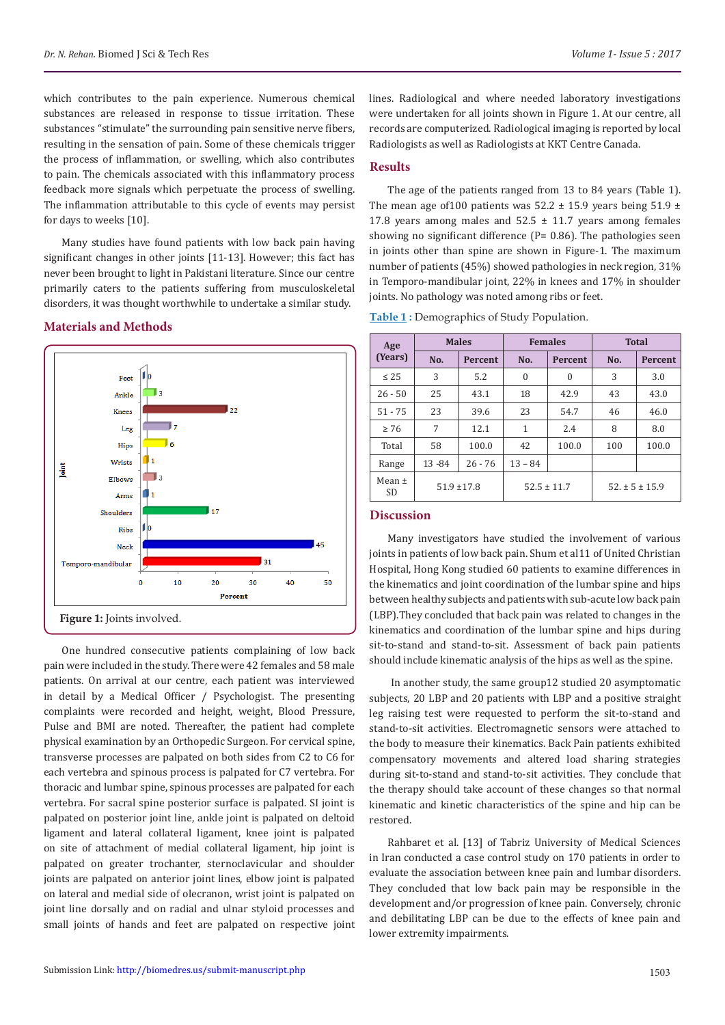which contributes to the pain experience. Numerous chemical substances are released in response to tissue irritation. These substances "stimulate" the surrounding pain sensitive nerve fibers, resulting in the sensation of pain. Some of these chemicals trigger the process of inflammation, or swelling, which also contributes to pain. The chemicals associated with this inflammatory process feedback more signals which perpetuate the process of swelling. The inflammation attributable to this cycle of events may persist for days to weeks [10].

Many studies have found patients with low back pain having significant changes in other joints [11-13]. However; this fact has never been brought to light in Pakistani literature. Since our centre primarily caters to the patients suffering from musculoskeletal disorders, it was thought worthwhile to undertake a similar study.

## **Materials and Methods**



One hundred consecutive patients complaining of low back pain were included in the study. There were 42 females and 58 male patients. On arrival at our centre, each patient was interviewed in detail by a Medical Officer / Psychologist. The presenting complaints were recorded and height, weight, Blood Pressure, Pulse and BMI are noted. Thereafter, the patient had complete physical examination by an Orthopedic Surgeon. For cervical spine, transverse processes are palpated on both sides from C2 to C6 for each vertebra and spinous process is palpated for C7 vertebra. For thoracic and lumbar spine, spinous processes are palpated for each vertebra. For sacral spine posterior surface is palpated. SI joint is palpated on posterior joint line, ankle joint is palpated on deltoid ligament and lateral collateral ligament, knee joint is palpated on site of attachment of medial collateral ligament, hip joint is palpated on greater trochanter, sternoclavicular and shoulder joints are palpated on anterior joint lines, elbow joint is palpated on lateral and medial side of olecranon, wrist joint is palpated on joint line dorsally and on radial and ulnar styloid processes and small joints of hands and feet are palpated on respective joint

lines. Radiological and where needed laboratory investigations were undertaken for all joints shown in Figure 1. At our centre, all records are computerized. Radiological imaging is reported by local Radiologists as well as Radiologists at KKT Centre Canada.

## **Results**

The age of the patients ranged from 13 to 84 years (Table 1). The mean age of 100 patients was  $52.2 \pm 15.9$  years being  $51.9 \pm 1.9$ 17.8 years among males and  $52.5 \pm 11.7$  years among females showing no significant difference (P= 0.86). The pathologies seen in joints other than spine are shown in Figure-1. The maximum number of patients (45%) showed pathologies in neck region, 31% in Temporo-mandibular joint, 22% in knees and 17% in shoulder joints. No pathology was noted among ribs or feet.

**Table 1 :** Demographics of Study Population.

| Age<br>(Years)          | <b>Males</b>    |                | <b>Females</b>  |                | <b>Total</b>         |                |
|-------------------------|-----------------|----------------|-----------------|----------------|----------------------|----------------|
|                         | No.             | <b>Percent</b> | No.             | <b>Percent</b> | No.                  | <b>Percent</b> |
| $\leq 25$               | 3               | 5.2            | $\mathbf{0}$    | $\mathbf{0}$   | 3                    | 3.0            |
| $26 - 50$               | 25              | 43.1           | 18              | 42.9           | 43                   | 43.0           |
| $51 - 75$               | 23              | 39.6           | 23              | 54.7           | 46                   | 46.0           |
| $\geq 76$               | 7               | 12.1           | 1               | 2.4            | 8                    | 8.0            |
| Total                   | 58              | 100.0          | 42              | 100.0          | 100                  | 100.0          |
| Range                   | 13-84           | $26 - 76$      | $13 - 84$       |                |                      |                |
| Mean $\pm$<br><b>SD</b> | $51.9 \pm 17.8$ |                | $52.5 \pm 11.7$ |                | $52. \pm 5 \pm 15.9$ |                |

#### **Discussion**

Many investigators have studied the involvement of various joints in patients of low back pain. Shum et al11 of United Christian Hospital, Hong Kong studied 60 patients to examine differences in the kinematics and joint coordination of the lumbar spine and hips between healthy subjects and patients with sub-acute low back pain (LBP).They concluded that back pain was related to changes in the kinematics and coordination of the lumbar spine and hips during sit-to-stand and stand-to-sit. Assessment of back pain patients should include kinematic analysis of the hips as well as the spine.

 In another study, the same group12 studied 20 asymptomatic subjects, 20 LBP and 20 patients with LBP and a positive straight leg raising test were requested to perform the sit-to-stand and stand-to-sit activities. Electromagnetic sensors were attached to the body to measure their kinematics. Back Pain patients exhibited compensatory movements and altered load sharing strategies during sit-to-stand and stand-to-sit activities. They conclude that the therapy should take account of these changes so that normal kinematic and kinetic characteristics of the spine and hip can be restored.

Rahbaret et al. [13] of Tabriz University of Medical Sciences in Iran conducted a case control study on 170 patients in order to evaluate the association between knee pain and lumbar disorders. They concluded that low back pain may be responsible in the development and/or progression of knee pain. Conversely, chronic and debilitating LBP can be due to the effects of knee pain and lower extremity impairments.